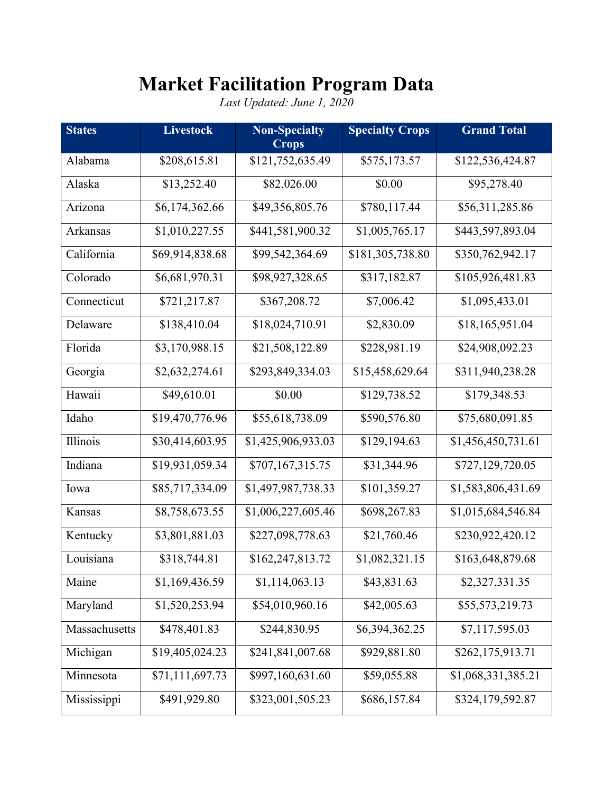## **Market Facilitation Program Data**

*Last Updated: June 1, 2020*

| <b>States</b> | <b>Livestock</b> | <b>Non-Specialty</b><br><b>Crops</b> | <b>Specialty Crops</b> | <b>Grand Total</b> |
|---------------|------------------|--------------------------------------|------------------------|--------------------|
| Alabama       | \$208,615.81     | \$121,752,635.49                     | \$575,173.57           | \$122,536,424.87   |
| Alaska        | \$13,252.40      | \$82,026.00                          | \$0.00                 | \$95,278.40        |
| Arizona       | \$6,174,362.66   | \$49,356,805.76                      | \$780,117.44           | \$56,311,285.86    |
| Arkansas      | \$1,010,227.55   | \$441,581,900.32                     | \$1,005,765.17         | \$443,597,893.04   |
| California    | \$69,914,838.68  | \$99,542,364.69                      | \$181,305,738.80       | \$350,762,942.17   |
| Colorado      | \$6,681,970.31   | \$98,927,328.65                      | \$317,182.87           | \$105,926,481.83   |
| Connecticut   | \$721,217.87     | \$367,208.72                         | \$7,006.42             | \$1,095,433.01     |
| Delaware      | \$138,410.04     | \$18,024,710.91                      | \$2,830.09             | \$18,165,951.04    |
| Florida       | \$3,170,988.15   | \$21,508,122.89                      | \$228,981.19           | \$24,908,092.23    |
| Georgia       | \$2,632,274.61   | \$293,849,334.03                     | \$15,458,629.64        | \$311,940,238.28   |
| Hawaii        | \$49,610.01      | \$0.00                               | \$129,738.52           | \$179,348.53       |
| Idaho         | \$19,470,776.96  | \$55,618,738.09                      | \$590,576.80           | \$75,680,091.85    |
| Illinois      | \$30,414,603.95  | \$1,425,906,933.03                   | \$129,194.63           | \$1,456,450,731.61 |
| Indiana       | \$19,931,059.34  | \$707,167,315.75                     | \$31,344.96            | \$727,129,720.05   |
| Iowa          | \$85,717,334.09  | \$1,497,987,738.33                   | \$101,359.27           | \$1,583,806,431.69 |
| Kansas        | \$8,758,673.55   | \$1,006,227,605.46                   | \$698,267.83           | \$1,015,684,546.84 |
| Kentucky      | \$3,801,881.03   | \$227,098,778.63                     | \$21,760.46            | \$230,922,420.12   |
| Louisiana     | \$318,744.81     | \$162,247,813.72                     | \$1,082,321.15         | \$163,648,879.68   |
| Maine         | \$1,169,436.59   | \$1,114,063.13                       | \$43,831.63            | \$2,327,331.35     |
| Maryland      | \$1,520,253.94   | \$54,010,960.16                      | \$42,005.63            | \$55,573,219.73    |
| Massachusetts | \$478,401.83     | \$244,830.95                         | \$6,394,362.25         | \$7,117,595.03     |
| Michigan      | \$19,405,024.23  | \$241,841,007.68                     | \$929,881.80           | \$262,175,913.71   |
| Minnesota     | \$71,111,697.73  | \$997,160,631.60                     | \$59,055.88            | \$1,068,331,385.21 |
| Mississippi   | \$491,929.80     | \$323,001,505.23                     | \$686,157.84           | \$324,179,592.87   |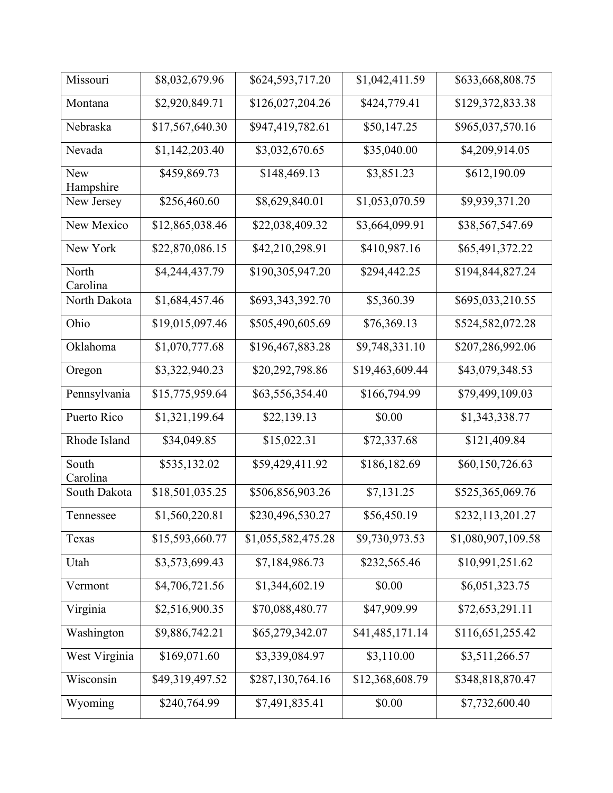| Missouri                | \$8,032,679.96  | \$624,593,717.20   | \$1,042,411.59  | \$633,668,808.75   |
|-------------------------|-----------------|--------------------|-----------------|--------------------|
| Montana                 | \$2,920,849.71  | \$126,027,204.26   | \$424,779.41    | \$129,372,833.38   |
| Nebraska                | \$17,567,640.30 | \$947,419,782.61   | \$50,147.25     | \$965,037,570.16   |
| Nevada                  | \$1,142,203.40  | \$3,032,670.65     | \$35,040.00     | \$4,209,914.05     |
| <b>New</b><br>Hampshire | \$459,869.73    | \$148,469.13       | \$3,851.23      | \$612,190.09       |
| New Jersey              | \$256,460.60    | \$8,629,840.01     | \$1,053,070.59  | \$9,939,371.20     |
| New Mexico              | \$12,865,038.46 | \$22,038,409.32    | \$3,664,099.91  | \$38,567,547.69    |
| New York                | \$22,870,086.15 | \$42,210,298.91    | \$410,987.16    | \$65,491,372.22    |
| North<br>Carolina       | \$4,244,437.79  | \$190,305,947.20   | \$294,442.25    | \$194,844,827.24   |
| North Dakota            | \$1,684,457.46  | \$693,343,392.70   | \$5,360.39      | \$695,033,210.55   |
| Ohio                    | \$19,015,097.46 | \$505,490,605.69   | \$76,369.13     | \$524,582,072.28   |
| Oklahoma                | \$1,070,777.68  | \$196,467,883.28   | \$9,748,331.10  | \$207,286,992.06   |
| Oregon                  | \$3,322,940.23  | \$20,292,798.86    | \$19,463,609.44 | \$43,079,348.53    |
| Pennsylvania            | \$15,775,959.64 | \$63,556,354.40    | \$166,794.99    | \$79,499,109.03    |
| Puerto Rico             | \$1,321,199.64  | \$22,139.13        | \$0.00          | \$1,343,338.77     |
| Rhode Island            | \$34,049.85     | \$15,022.31        | \$72,337.68     | \$121,409.84       |
| South<br>Carolina       | \$535,132.02    | \$59,429,411.92    | \$186,182.69    | \$60,150,726.63    |
| South Dakota            | \$18,501,035.25 | \$506,856,903.26   | \$7,131.25      | \$525,365,069.76   |
| Tennessee               | \$1,560,220.81  | \$230,496,530.27   | \$56,450.19     | \$232,113,201.27   |
| Texas                   | \$15,593,660.77 | \$1,055,582,475.28 | \$9,730,973.53  | \$1,080,907,109.58 |
| Utah                    | \$3,573,699.43  | \$7,184,986.73     | \$232,565.46    | \$10,991,251.62    |
| Vermont                 | \$4,706,721.56  | \$1,344,602.19     | \$0.00          | \$6,051,323.75     |
| Virginia                | \$2,516,900.35  | \$70,088,480.77    | \$47,909.99     | \$72,653,291.11    |
| Washington              | \$9,886,742.21  | \$65,279,342.07    | \$41,485,171.14 | \$116,651,255.42   |
| West Virginia           | \$169,071.60    | \$3,339,084.97     | \$3,110.00      | \$3,511,266.57     |
| Wisconsin               | \$49,319,497.52 | \$287,130,764.16   | \$12,368,608.79 | \$348,818,870.47   |
| Wyoming                 | \$240,764.99    | \$7,491,835.41     | \$0.00          | \$7,732,600.40     |